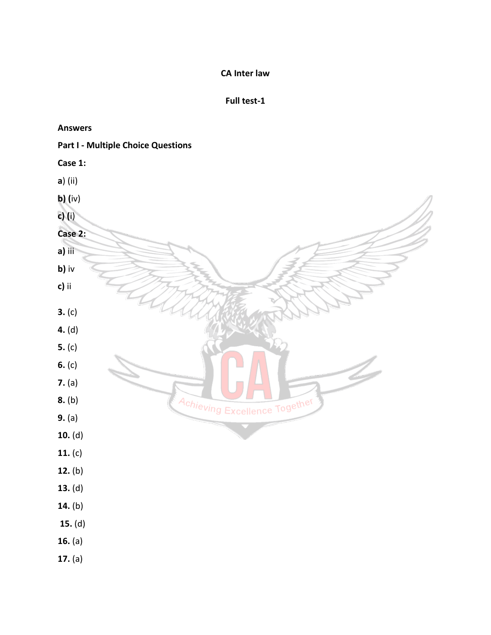# **CA Inter law**

### **Full test-1**

#### **Answers**

### **Part I - Multiple Choice Questions**

| Case 1: |         |
|---------|---------|
|         | a) (ii) |
|         | b) (iv) |

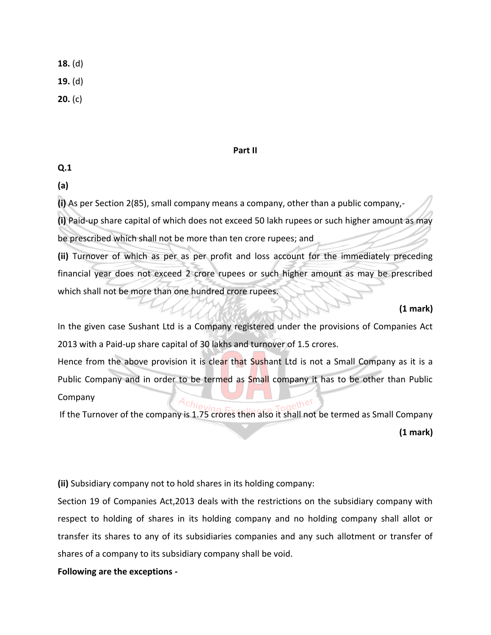**18.** (d)

**19.** (d)

**20.** (c)

### **Part II**

# **Q.1**

**(a)** 

**(i)** As per Section 2(85), small company means a company, other than a public company,-

**(i)** Paid-up share capital of which does not exceed 50 lakh rupees or such higher amount as may be prescribed which shall not be more than ten crore rupees; and

**(ii)** Turnover of which as per as per profit and loss account for the immediately preceding financial year does not exceed 2 crore rupees or such higher amount as may be prescribed which shall not be more than one hundred crore rupees.

**(1 mark)** 

In the given case Sushant Ltd is a Company registered under the provisions of Companies Act 2013 with a Paid-up share capital of 30 lakhs and turnover of 1.5 crores.

Hence from the above provision it is clear that Sushant Ltd is not a Small Company as it is a Public Company and in order to be termed as Small company it has to be other than Public Company

If the Turnover of the company is 1.75 crores then also it shall not be termed as Small Company **(1 mark)**

**(ii)** Subsidiary company not to hold shares in its holding company:

Section 19 of Companies Act,2013 deals with the restrictions on the subsidiary company with respect to holding of shares in its holding company and no holding company shall allot or transfer its shares to any of its subsidiaries companies and any such allotment or transfer of shares of a company to its subsidiary company shall be void.

**Following are the exceptions -**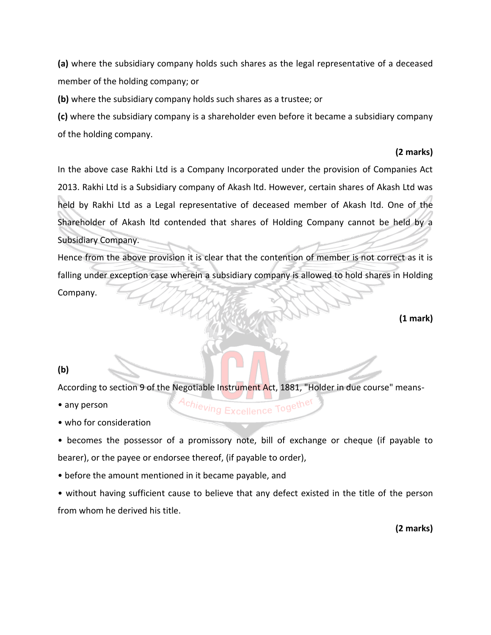**(a)** where the subsidiary company holds such shares as the legal representative of a deceased member of the holding company; or

**(b)** where the subsidiary company holds such shares as a trustee; or

**(c)** where the subsidiary company is a shareholder even before it became a subsidiary company of the holding company.

# **(2 marks)**

In the above case Rakhi Ltd is a Company Incorporated under the provision of Companies Act 2013. Rakhi Ltd is a Subsidiary company of Akash ltd. However, certain shares of Akash Ltd was held by Rakhi Ltd as a Legal representative of deceased member of Akash ltd. One of the Shareholder of Akash ltd contended that shares of Holding Company cannot be held by a Subsidiary Company.

Hence from the above provision it is clear that the contention of member is not correct as it is falling under exception case wherein a subsidiary company is allowed to hold shares in Holding Company.

**(1 mark)**

# **(b)**

According to section 9 of the Negotiable Instrument Act, 1881, "Holder in due course" means-

• any person

• who for consideration

• becomes the possessor of a promissory note, bill of exchange or cheque (if payable to bearer), or the payee or endorsee thereof, (if payable to order),

Excellence Togethe

• before the amount mentioned in it became payable, and

<sup>q</sup>chieving

• without having sufficient cause to believe that any defect existed in the title of the person from whom he derived his title.

**(2 marks)**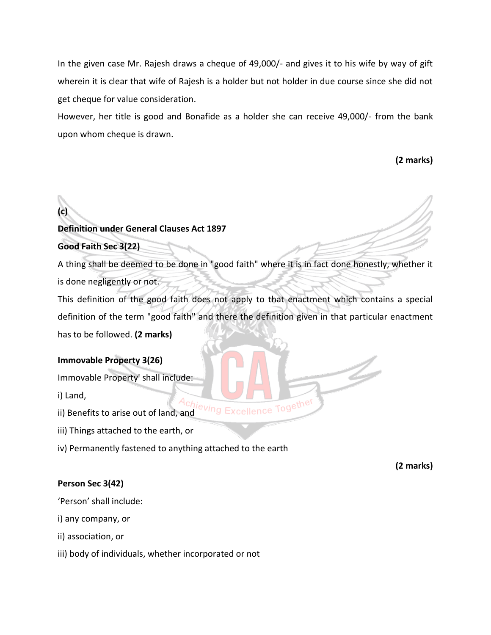In the given case Mr. Rajesh draws a cheque of 49,000/- and gives it to his wife by way of gift wherein it is clear that wife of Rajesh is a holder but not holder in due course since she did not get cheque for value consideration.

However, her title is good and Bonafide as a holder she can receive 49,000/- from the bank upon whom cheque is drawn.

**(2 marks)**

# **(c) Definition under General Clauses Act 1897**

**Good Faith Sec 3(22)** 

A thing shall be deemed to be done in "good faith" where it is in fact done honestly, whether it is done negligently or not.

This definition of the good faith does not apply to that enactment which contains a special definition of the term "good faith" and there the definition given in that particular enactment has to be followed. **(2 marks)**

# **Immovable Property 3(26)**

Immovable Property' shall include:

i) Land,

ii) Benefits to arise out of land, and<br>ii) Benefits to arise out of land, and

iii) Things attached to the earth, or

iv) Permanently fastened to anything attached to the earth

**(2 marks)** 

# **Person Sec 3(42)**

'Person' shall include:

i) any company, or

ii) association, or

iii) body of individuals, whether incorporated or not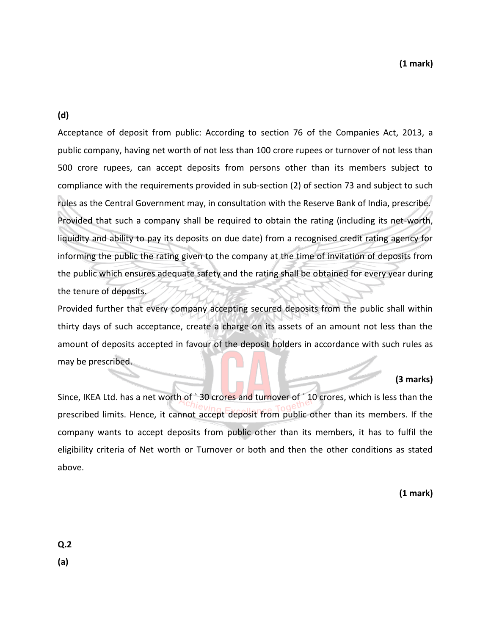**(d)** 

Acceptance of deposit from public: According to section 76 of the Companies Act, 2013, a public company, having net worth of not less than 100 crore rupees or turnover of not less than 500 crore rupees, can accept deposits from persons other than its members subject to compliance with the requirements provided in sub-section (2) of section 73 and subject to such rules as the Central Government may, in consultation with the Reserve Bank of India, prescribe. Provided that such a company shall be required to obtain the rating (including its net-worth, liquidity and ability to pay its deposits on due date) from a recognised credit rating agency for informing the public the rating given to the company at the time of invitation of deposits from the public which ensures adequate safety and the rating shall be obtained for every year during the tenure of deposits.

Provided further that every company accepting secured deposits from the public shall within thirty days of such acceptance, create a charge on its assets of an amount not less than the amount of deposits accepted in favour of the deposit holders in accordance with such rules as may be prescribed.

# **(3 marks)**

Since, IKEA Ltd. has a net worth of `30 crores and turnover of `10 crores, which is less than the prescribed limits. Hence, it cannot accept deposit from public other than its members. If the company wants to accept deposits from public other than its members, it has to fulfil the eligibility criteria of Net worth or Turnover or both and then the other conditions as stated above.

**(1 mark)**

**Q.2** 

**(a)**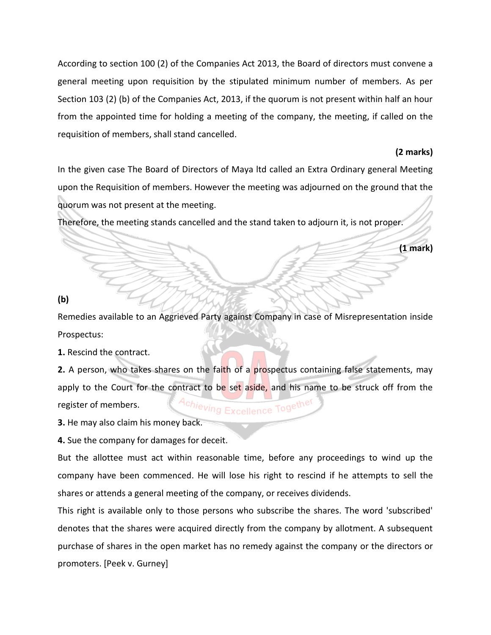According to section 100 (2) of the Companies Act 2013, the Board of directors must convene a general meeting upon requisition by the stipulated minimum number of members. As per Section 103 (2) (b) of the Companies Act, 2013, if the quorum is not present within half an hour from the appointed time for holding a meeting of the company, the meeting, if called on the requisition of members, shall stand cancelled.

### **(2 marks)**

In the given case The Board of Directors of Maya ltd called an Extra Ordinary general Meeting upon the Requisition of members. However the meeting was adjourned on the ground that the quorum was not present at the meeting.

Therefore, the meeting stands cancelled and the stand taken to adjourn it, is not proper.

### **(1 mark)**

**(b)** 

Remedies available to an Aggrieved Party against Company in case of Misrepresentation inside Prospectus:

**1.** Rescind the contract.

**2.** A person, who takes shares on the faith of a prospectus containing false statements, may apply to the Court for the contract to be set aside, and his name to be struck off from the Achieving Excellence Togethe register of members.

**3.** He may also claim his money back.

**4.** Sue the company for damages for deceit.

But the allottee must act within reasonable time, before any proceedings to wind up the company have been commenced. He will lose his right to rescind if he attempts to sell the shares or attends a general meeting of the company, or receives dividends.

This right is available only to those persons who subscribe the shares. The word 'subscribed' denotes that the shares were acquired directly from the company by allotment. A subsequent purchase of shares in the open market has no remedy against the company or the directors or promoters. [Peek v. Gurney]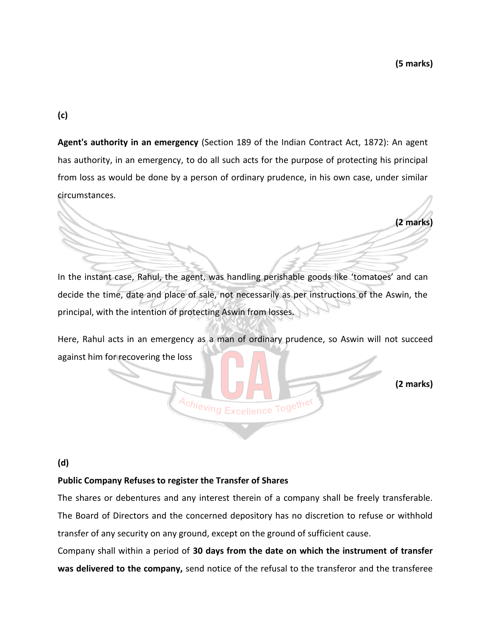**(c)** 

**Agent's authority in an emergency** (Section 189 of the Indian Contract Act, 1872): An agent has authority, in an emergency, to do all such acts for the purpose of protecting his principal from loss as would be done by a person of ordinary prudence, in his own case, under similar circumstances.

**(2 marks)** In the instant case, Rahul, the agent, was handling perishable goods like 'tomatoes' and can

decide the time, date and place of sale, not necessarily as per instructions of the Aswin, the principal, with the intention of protecting Aswin from losses.

Here, Rahul acts in an emergency as a man of ordinary prudence, so Aswin will not succeed against him for recovering the loss

Achieving Excellence Together

**(2 marks)**

### **(d)**

### **Public Company Refuses to register the Transfer of Shares**

The shares or debentures and any interest therein of a company shall be freely transferable. The Board of Directors and the concerned depository has no discretion to refuse or withhold transfer of any security on any ground, except on the ground of sufficient cause.

Company shall within a period of **30 days from the date on which the instrument of transfer was delivered to the company,** send notice of the refusal to the transferor and the transferee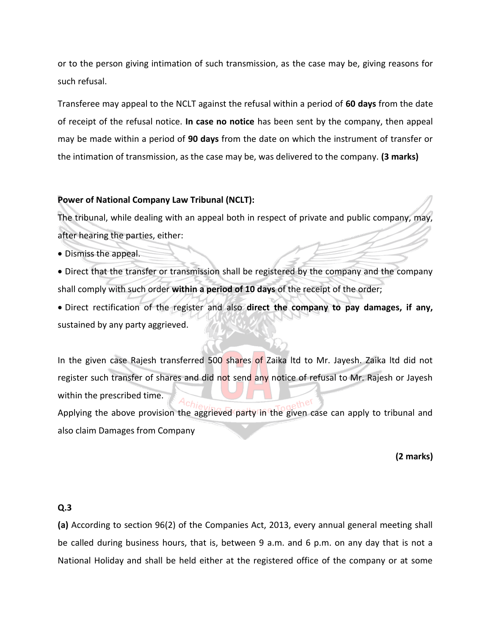or to the person giving intimation of such transmission, as the case may be, giving reasons for such refusal.

Transferee may appeal to the NCLT against the refusal within a period of **60 days** from the date of receipt of the refusal notice. **In case no notice** has been sent by the company, then appeal may be made within a period of **90 days** from the date on which the instrument of transfer or the intimation of transmission, as the case may be, was delivered to the company. **(3 marks)** 

### **Power of National Company Law Tribunal (NCLT):**

The tribunal, while dealing with an appeal both in respect of private and public company, may, after hearing the parties, either:

- Dismiss the appeal.
- Direct that the transfer or transmission shall be registered by the company and the company shall comply with such order **within a period of 10 days** of the receipt of the order;

• Direct rectification of the register and also **direct the company to pay damages, if any,**  sustained by any party aggrieved.

In the given case Rajesh transferred 500 shares of Zaika Itd to Mr. Jayesh. Zaika Itd did not register such transfer of shares and did not send any notice of refusal to Mr. Rajesh or Jayesh within the prescribed time. Applying the above provision the aggrieved party in the given case can apply to tribunal and

also claim Damages from Company

**(2 marks)**

### **Q.3**

**(a)** According to section 96(2) of the Companies Act, 2013, every annual general meeting shall be called during business hours, that is, between 9 a.m. and 6 p.m. on any day that is not a National Holiday and shall be held either at the registered office of the company or at some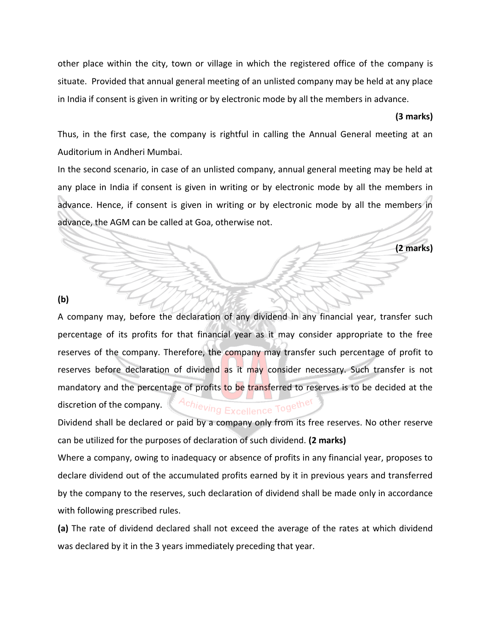other place within the city, town or village in which the registered office of the company is situate. Provided that annual general meeting of an unlisted company may be held at any place in India if consent is given in writing or by electronic mode by all the members in advance.

### **(3 marks)**

Thus, in the first case, the company is rightful in calling the Annual General meeting at an Auditorium in Andheri Mumbai.

In the second scenario, in case of an unlisted company, annual general meeting may be held at any place in India if consent is given in writing or by electronic mode by all the members in advance. Hence, if consent is given in writing or by electronic mode by all the members in advance, the AGM can be called at Goa, otherwise not.

**(2 marks)**

### **(b)**

A company may, before the declaration of any dividend in any financial year, transfer such percentage of its profits for that financial year as it may consider appropriate to the free reserves of the company. Therefore, the company may transfer such percentage of profit to reserves before declaration of dividend as it may consider necessary. Such transfer is not mandatory and the percentage of profits to be transferred to reserves is to be decided at the Achieving Excellence Togethe discretion of the company.

Dividend shall be declared or paid by a company only from its free reserves. No other reserve can be utilized for the purposes of declaration of such dividend. **(2 marks)** 

Where a company, owing to inadequacy or absence of profits in any financial year, proposes to declare dividend out of the accumulated profits earned by it in previous years and transferred by the company to the reserves, such declaration of dividend shall be made only in accordance with following prescribed rules.

**(a)** The rate of dividend declared shall not exceed the average of the rates at which dividend was declared by it in the 3 years immediately preceding that year.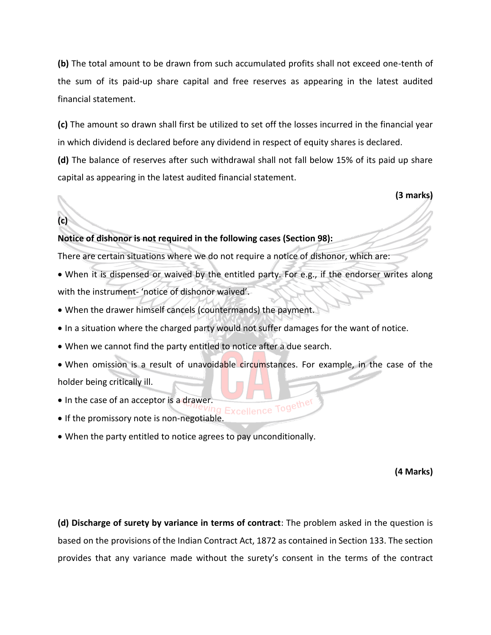**(b)** The total amount to be drawn from such accumulated profits shall not exceed one-tenth of the sum of its paid-up share capital and free reserves as appearing in the latest audited financial statement.

**(c)** The amount so drawn shall first be utilized to set off the losses incurred in the financial year in which dividend is declared before any dividend in respect of equity shares is declared. **(d)** The balance of reserves after such withdrawal shall not fall below 15% of its paid up share capital as appearing in the latest audited financial statement.

**(3 marks)**

# **Notice of dishonor is not required in the following cases (Section 98):**

There are certain situations where we do not require a notice of dishonor, which are:

- When it is dispensed or waived by the entitled party. For e.g., if the endorser writes along with the instrument- 'notice of dishonor waived'.
- When the drawer himself cancels (countermands) the payment.
- In a situation where the charged party would not suffer damages for the want of notice.
- When we cannot find the party entitled to notice after a due search.
- When omission is a result of unavoidable circumstances. For example, in the case of the holder being critically ill.
- 

**(c)** 

- In the case of an acceptor is a drawer. • If the promissory note is non-negotiable.
- When the party entitled to notice agrees to pay unconditionally.

**(4 Marks)**

**(d) Discharge of surety by variance in terms of contract**: The problem asked in the question is based on the provisions of the Indian Contract Act, 1872 as contained in Section 133. The section provides that any variance made without the surety's consent in the terms of the contract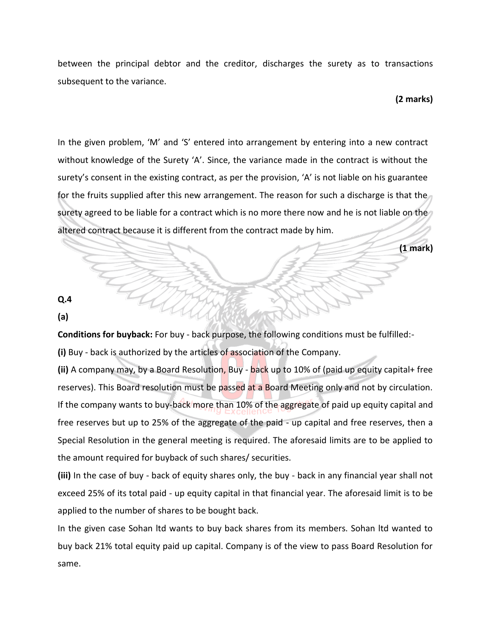between the principal debtor and the creditor, discharges the surety as to transactions subsequent to the variance.

### **(2 marks)**

**(1 mark)**

In the given problem, 'M' and 'S' entered into arrangement by entering into a new contract without knowledge of the Surety 'A'. Since, the variance made in the contract is without the surety's consent in the existing contract, as per the provision, 'A' is not liable on his guarantee for the fruits supplied after this new arrangement. The reason for such a discharge is that the surety agreed to be liable for a contract which is no more there now and he is not liable on the altered contract because it is different from the contract made by him.

**Q.4** 

**(a)** 

**Conditions for buyback:** For buy - back purpose, the following conditions must be fulfilled:-

**(i)** Buy - back is authorized by the articles of association of the Company.

**(ii)** A company may, by a Board Resolution, Buy - back up to 10% of (paid up equity capital+ free reserves). This Board resolution must be passed at a Board Meeting only and not by circulation. If the company wants to buy-back more than 10% of the aggregate of paid up equity capital and free reserves but up to 25% of the aggregate of the paid - up capital and free reserves, then a Special Resolution in the general meeting is required. The aforesaid limits are to be applied to the amount required for buyback of such shares/ securities.

**(iii)** In the case of buy - back of equity shares only, the buy - back in any financial year shall not exceed 25% of its total paid - up equity capital in that financial year. The aforesaid limit is to be applied to the number of shares to be bought back.

In the given case Sohan ltd wants to buy back shares from its members. Sohan ltd wanted to buy back 21% total equity paid up capital. Company is of the view to pass Board Resolution for same.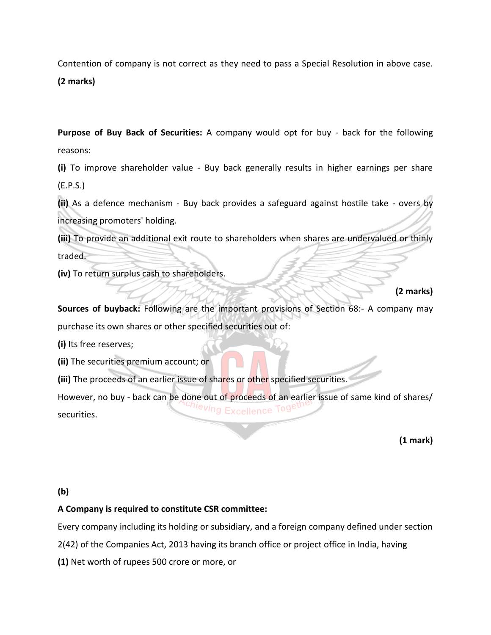Contention of company is not correct as they need to pass a Special Resolution in above case.

**(2 marks)**

**Purpose of Buy Back of Securities:** A company would opt for buy - back for the following reasons:

**(i)** To improve shareholder value - Buy back generally results in higher earnings per share (E.P.S.)

**(ii)** As a defence mechanism - Buy back provides a safeguard against hostile take - overs by increasing promoters' holding.

**(iii)** To provide an additional exit route to shareholders when shares are undervalued or thinly traded.

**(iv)** To return surplus cash to shareholders.

# **(2 marks)**

**Sources of buyback:** Following are the important provisions of Section 68:- A company may purchase its own shares or other specified securities out of:

**(i)** Its free reserves;

**(ii)** The securities premium account; or

**(iii)** The proceeds of an earlier issue of shares or other specified securities.

However, no buy - back can be done out of proceeds of an earlier issue of same kind of shares/ **xcellence** securities.

**(1 mark)**

# **(b)**

# **A Company is required to constitute CSR committee:**

Every company including its holding or subsidiary, and a foreign company defined under section

2(42) of the Companies Act, 2013 having its branch office or project office in India, having

**(1)** Net worth of rupees 500 crore or more, or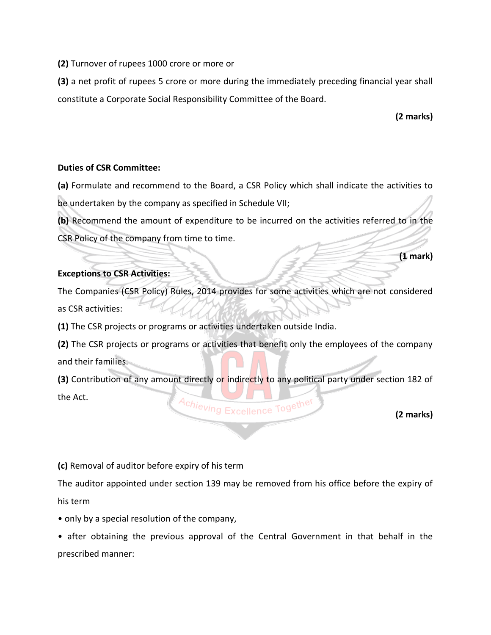**(2)** Turnover of rupees 1000 crore or more or

**(3)** a net profit of rupees 5 crore or more during the immediately preceding financial year shall constitute a Corporate Social Responsibility Committee of the Board.

**(2 marks)**

**(1 mark)** 

### **Duties of CSR Committee:**

**(a)** Formulate and recommend to the Board, a CSR Policy which shall indicate the activities to be undertaken by the company as specified in Schedule VII;

**(b)** Recommend the amount of expenditure to be incurred on the activities referred to in the CSR Policy of the company from time to time.

# **Exceptions to CSR Activities:**

The Companies (CSR Policy) Rules, 2014 provides for some activities which are not considered as CSR activities:

**(1)** The CSR projects or programs or activities undertaken outside India.

**(2)** The CSR projects or programs or activities that benefit only the employees of the company and their families.

**(3)** Contribution of any amount directly or indirectly to any political party under section 182 of the Act. Achieving Excellence Together

**(2 marks)**

**(c)** Removal of auditor before expiry of his term

The auditor appointed under section 139 may be removed from his office before the expiry of his term

• only by a special resolution of the company,

• after obtaining the previous approval of the Central Government in that behalf in the prescribed manner: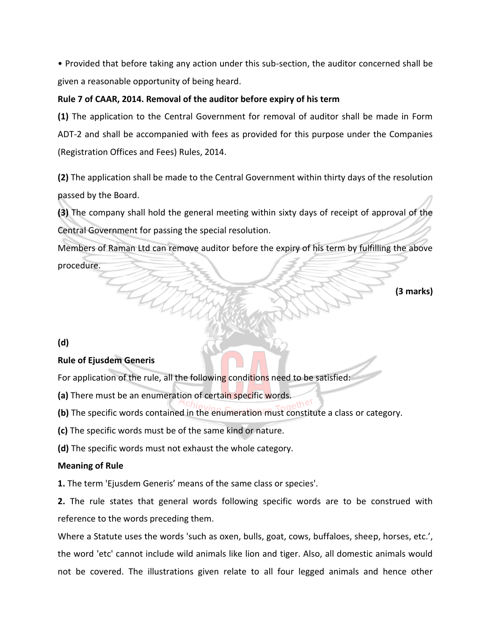• Provided that before taking any action under this sub-section, the auditor concerned shall be given a reasonable opportunity of being heard.

# **Rule 7 of CAAR, 2014. Removal of the auditor before expiry of his term**

**(1)** The application to the Central Government for removal of auditor shall be made in Form ADT-2 and shall be accompanied with fees as provided for this purpose under the Companies (Registration Offices and Fees) Rules, 2014.

**(2)** The application shall be made to the Central Government within thirty days of the resolution passed by the Board.

**(3)** The company shall hold the general meeting within sixty days of receipt of approval of the Central Government for passing the special resolution.

Members of Raman Ltd can remove auditor before the expiry of his term by fulfilling the above procedure.

**(3 marks)**

**(d)** 

# **Rule of Ejusdem Generis**

For application of the rule, all the following conditions need to be satisfied:

**(a)** There must be an enumeration of certain specific words.

**(b)** The specific words contained in the enumeration must constitute a class or category.

**(c)** The specific words must be of the same kind or nature.

**(d)** The specific words must not exhaust the whole category.

# **Meaning of Rule**

**1.** The term 'Ejusdem Generis' means of the same class or species'.

**2.** The rule states that general words following specific words are to be construed with reference to the words preceding them.

Where a Statute uses the words 'such as oxen, bulls, goat, cows, buffaloes, sheep, horses, etc.', the word 'etc' cannot include wild animals like lion and tiger. Also, all domestic animals would not be covered. The illustrations given relate to all four legged animals and hence other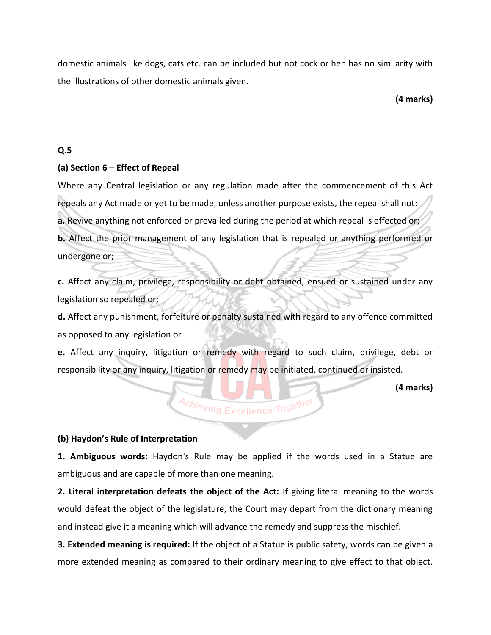domestic animals like dogs, cats etc. can be included but not cock or hen has no similarity with the illustrations of other domestic animals given.

**(4 marks)**

## **Q.5**

### **(a) Section 6 – Effect of Repeal**

Where any Central legislation or any regulation made after the commencement of this Act repeals any Act made or yet to be made, unless another purpose exists, the repeal shall not: **a.** Revive anything not enforced or prevailed during the period at which repeal is effected or; **b.** Affect the prior management of any legislation that is repealed or anything performed or undergone or;

**c.** Affect any claim, privilege, responsibility or debt obtained, ensued or sustained under any legislation so repealed or;

**d.** Affect any punishment, forfeiture or penalty sustained with regard to any offence committed as opposed to any legislation or

**e.** Affect any inquiry, litigation or remedy with regard to such claim, privilege, debt or responsibility or any inquiry, litigation or remedy may be initiated, continued or insisted.

Achieving Excellence Together

**(4 marks)**

### **(b) Haydon's Rule of Interpretation**

**1. Ambiguous words:** Haydon's Rule may be applied if the words used in a Statue are ambiguous and are capable of more than one meaning.

**2. Literal interpretation defeats the object of the Act:** If giving literal meaning to the words would defeat the object of the legislature, the Court may depart from the dictionary meaning and instead give it a meaning which will advance the remedy and suppress the mischief.

**3. Extended meaning is required:** If the object of a Statue is public safety, words can be given a more extended meaning as compared to their ordinary meaning to give effect to that object.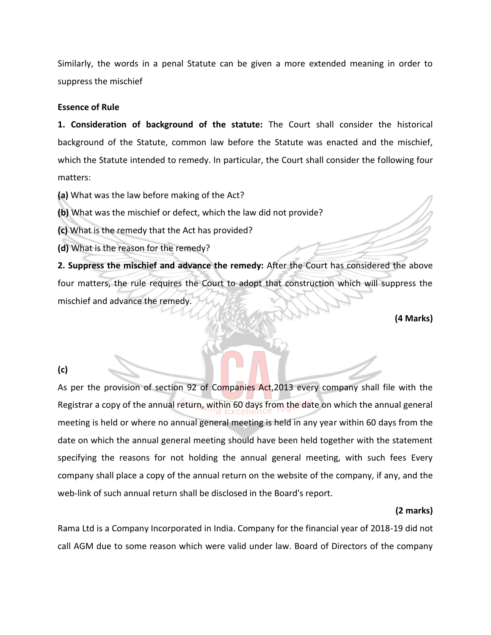Similarly, the words in a penal Statute can be given a more extended meaning in order to suppress the mischief

#### **Essence of Rule**

**1. Consideration of background of the statute:** The Court shall consider the historical background of the Statute, common law before the Statute was enacted and the mischief, which the Statute intended to remedy. In particular, the Court shall consider the following four matters:

**(a)** What was the law before making of the Act?

**(b)** What was the mischief or defect, which the law did not provide?

**(c)** What is the remedy that the Act has provided?

**(d)** What is the reason for the remedy?

**2. Suppress the mischief and advance the remedy:** After the Court has considered the above four matters, the rule requires the Court to adopt that construction which will suppress the mischief and advance the remedy.

**(4 Marks)**

### **(c)**

As per the provision of section 92 of Companies Act, 2013 every company shall file with the Registrar a copy of the annual return, within 60 days from the date on which the annual general meeting is held or where no annual general meeting is held in any year within 60 days from the date on which the annual general meeting should have been held together with the statement specifying the reasons for not holding the annual general meeting, with such fees Every company shall place a copy of the annual return on the website of the company, if any, and the web-link of such annual return shall be disclosed in the Board's report.

### **(2 marks)**

Rama Ltd is a Company Incorporated in India. Company for the financial year of 2018-19 did not call AGM due to some reason which were valid under law. Board of Directors of the company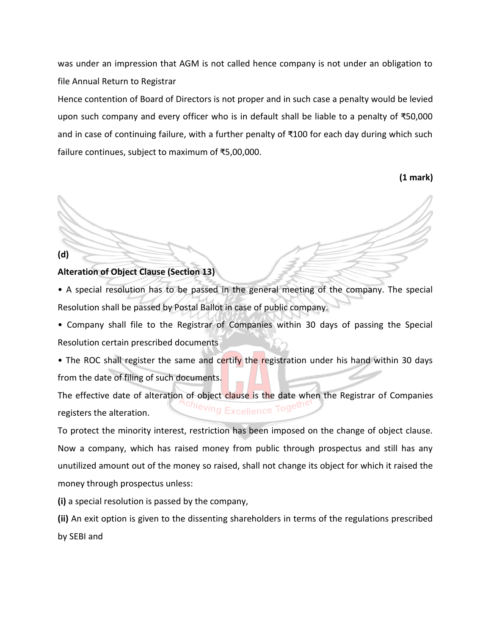was under an impression that AGM is not called hence company is not under an obligation to file Annual Return to Registrar

Hence contention of Board of Directors is not proper and in such case a penalty would be levied upon such company and every officer who is in default shall be liable to a penalty of ₹50,000 and in case of continuing failure, with a further penalty of ₹100 for each day during which such failure continues, subject to maximum of ₹5,00,000.

**(1 mark)**

### **Alteration of Object Clause (Section 13)**

**(d)** 

• A special resolution has to be passed in the general meeting of the company. The special Resolution shall be passed by Postal Ballot in case of public company.

• Company shall file to the Registrar of Companies within 30 days of passing the Special Resolution certain prescribed documents

• The ROC shall register the same and certify the registration under his hand within 30 days from the date of filing of such documents.

The effective date of alteration of object clause is the date when the Registrar of Companies <sup>chieving</sup> Excellence Tog<sup>ett</sup> registers the alteration.

To protect the minority interest, restriction has been imposed on the change of object clause. Now a company, which has raised money from public through prospectus and still has any unutilized amount out of the money so raised, shall not change its object for which it raised the money through prospectus unless:

**(i)** a special resolution is passed by the company,

**(ii)** An exit option is given to the dissenting shareholders in terms of the regulations prescribed by SEBI and